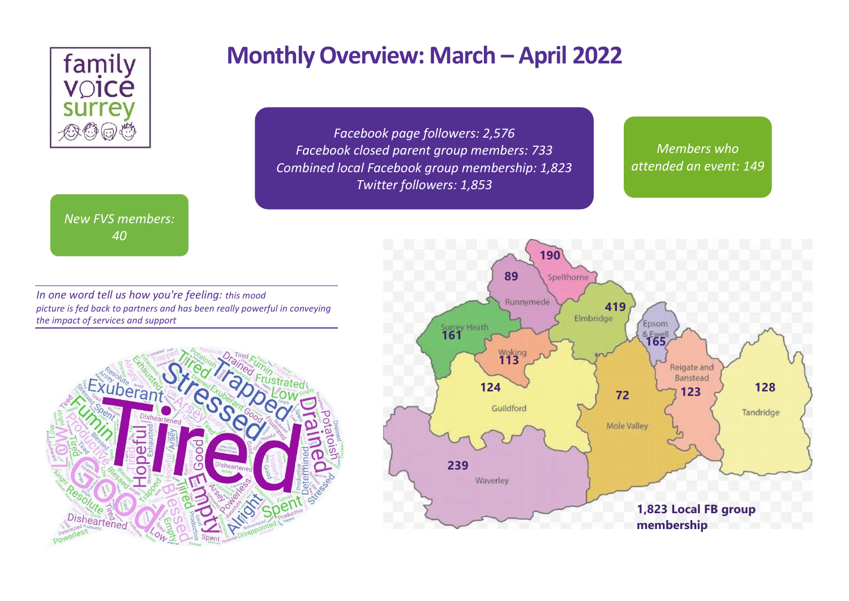

### *New FVS members: 40*

# **Monthly Overview: March – April 2022**

*Facebook page followers: 2,576 Facebook closed parent group members: 733 Combined local Facebook group membership: 1,823 Twitter followers: 1,853*

*Members who attended an event: 149*

*In one word tell us how you're feeling: this mood picture is fed back to partners and has been really powerful in conveying the impact of services and support*



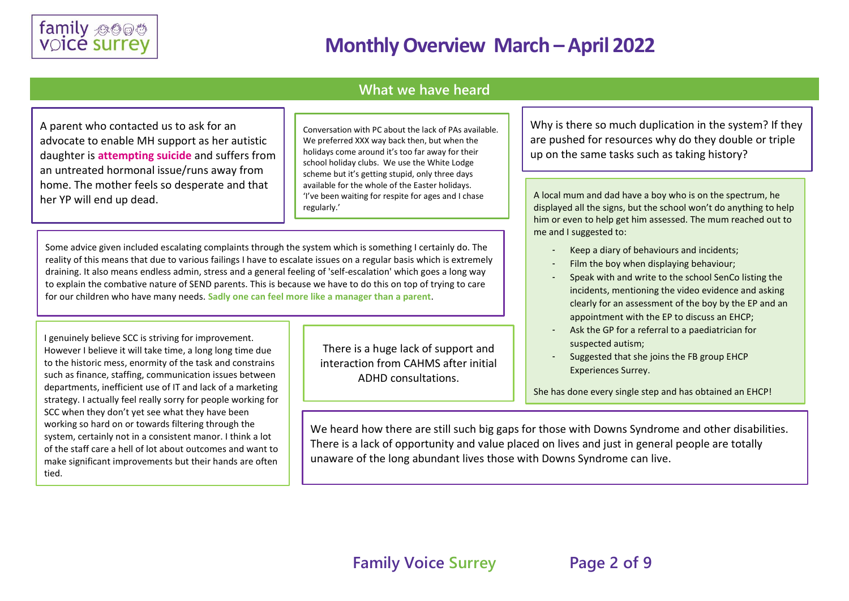

### **What we have heard**

A parent who contacted us to ask for an advocate to enable MH support as her autistic daughter is **attempting suicide** and suffers from an untreated hormonal issue/runs away from home. The mother feels so desperate and that her YP will end up dead.

Conversation with PC about the lack of PAs available. We preferred XXX way back then, but when the holidays come around it's too far away for their school holiday clubs. We use the White Lodge scheme but it's getting stupid, only three days available for the whole of the Easter holidays. 'I've been waiting for respite for ages and I chase regularly.'

Some advice given included escalating complaints through the system which is something I certainly do. The reality of this means that due to various failings I have to escalate issues on a regular basis which is extremely draining. It also means endless admin, stress and a general feeling of 'self-escalation' which goes a long way to explain the combative nature of SEND parents. This is because we have to do this on top of trying to care for our children who have many needs. **Sadly one can feel more like a manager than a parent**.

I genuinely believe SCC is striving for improvement. However I believe it will take time, a long long time due to the historic mess, enormity of the task and constrains such as finance, staffing, communication issues between departments, inefficient use of IT and lack of a marketing strategy. I actually feel really sorry for people working for SCC when they don't yet see what they have been working so hard on or towards filtering through the system, certainly not in a consistent manor. I think a lot of the staff care a hell of lot about outcomes and want to make significant improvements but their hands are often tied.

There is a huge lack of support and interaction from CAHMS after initial ADHD consultations.

Why is there so much duplication in the system? If they are pushed for resources why do they double or triple up on the same tasks such as taking history?

A local mum and dad have a boy who is on the spectrum, he displayed all the signs, but the school won't do anything to help him or even to help get him assessed. The mum reached out to me and I suggested to:

- Keep a diary of behaviours and incidents:
- Film the boy when displaying behaviour;
- Speak with and write to the school SenCo listing the incidents, mentioning the video evidence and asking clearly for an assessment of the boy by the EP and an appointment with the EP to discuss an EHCP;
- Ask the GP for a referral to a paediatrician for suspected autism;
- Suggested that she joins the FB group EHCP Experiences Surrey.

She has done every single step and has obtained an EHCP!

We heard how there are still such big gaps for those with Downs Syndrome and other disabilities. There is a lack of opportunity and value placed on lives and just in general people are totally unaware of the long abundant lives those with Downs Syndrome can live.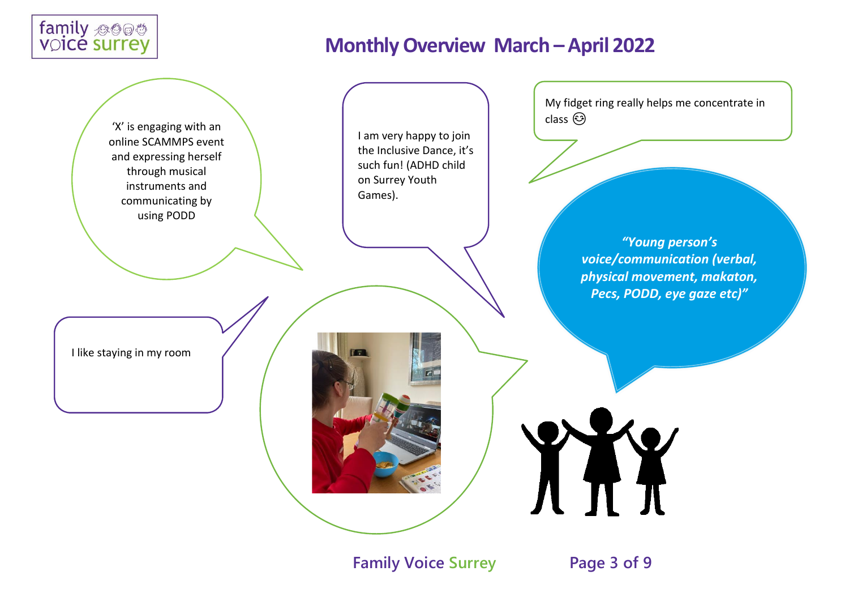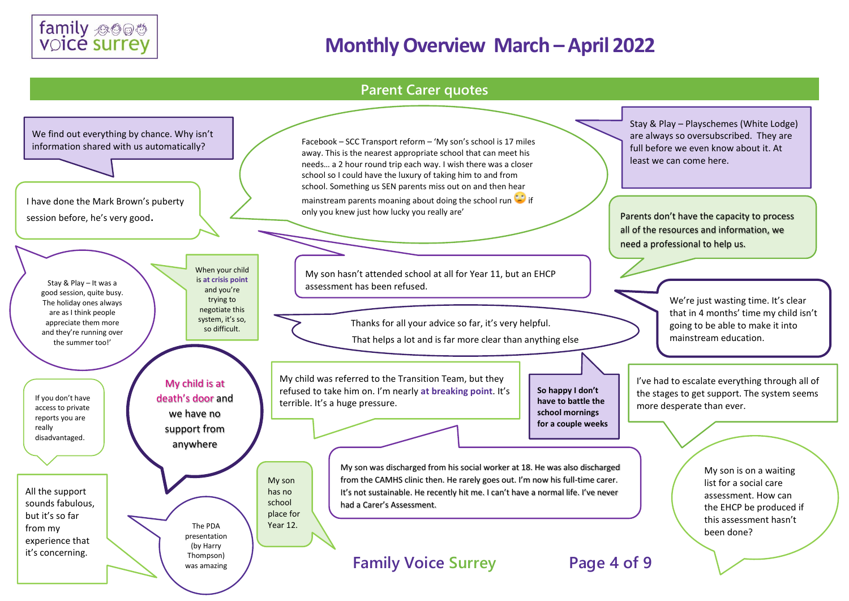

### **Parent Carer quotes**

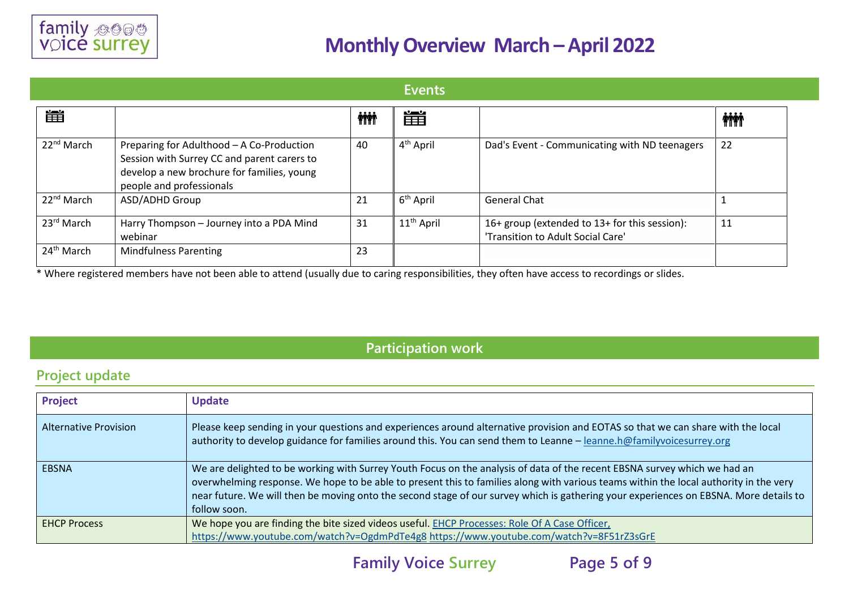

#### **Events** ■ 雦 **iii iii**  $22<sup>nd</sup> March$  Preparing for Adulthood – A Co-Production  $40$  4<sup>th</sup> April Dad's Event - Communicating with ND teenagers 22 Session with Surrey CC and parent carers to develop a new brochure for families, young people and professionals  $22^{nd}$  March ASD/ADHD Group 21 6<sup>th</sup> April General Chat 1 and 1 and 1 and 1 and 1 and 1 and 1 and 1 and 1 and 1 and 1 and 1 and 1 and 1 and 1 and 1 and 1  $23^{rd}$  March | Harry Thompson – Journey into a PDA Mind  $31$  | 11<sup>th</sup> April | 16+ group (extended to 13+ for this session): 11 webinar 'Transition to Adult Social Care' 24<sup>th</sup> March Mindfulness Parenting 23

\* Where registered members have not been able to attend (usually due to caring responsibilities, they often have access to recordings or slides.

### **Participation work**

### **Project update**

| <b>Project</b>               | <b>Update</b>                                                                                                                                                                                                                                                                                                                                                                                                               |
|------------------------------|-----------------------------------------------------------------------------------------------------------------------------------------------------------------------------------------------------------------------------------------------------------------------------------------------------------------------------------------------------------------------------------------------------------------------------|
| <b>Alternative Provision</b> | Please keep sending in your questions and experiences around alternative provision and EOTAS so that we can share with the local<br>authority to develop guidance for families around this. You can send them to Leanne – leanne.h@familyvoicesurrey.org                                                                                                                                                                    |
| <b>EBSNA</b>                 | We are delighted to be working with Surrey Youth Focus on the analysis of data of the recent EBSNA survey which we had an<br>overwhelming response. We hope to be able to present this to families along with various teams within the local authority in the very<br>near future. We will then be moving onto the second stage of our survey which is gathering your experiences on EBSNA. More details to<br>follow soon. |
| <b>EHCP Process</b>          | We hope you are finding the bite sized videos useful. EHCP Processes: Role Of A Case Officer,<br>https://www.youtube.com/watch?v=OgdmPdTe4g8 https://www.youtube.com/watch?v=8F51rZ3sGrE                                                                                                                                                                                                                                    |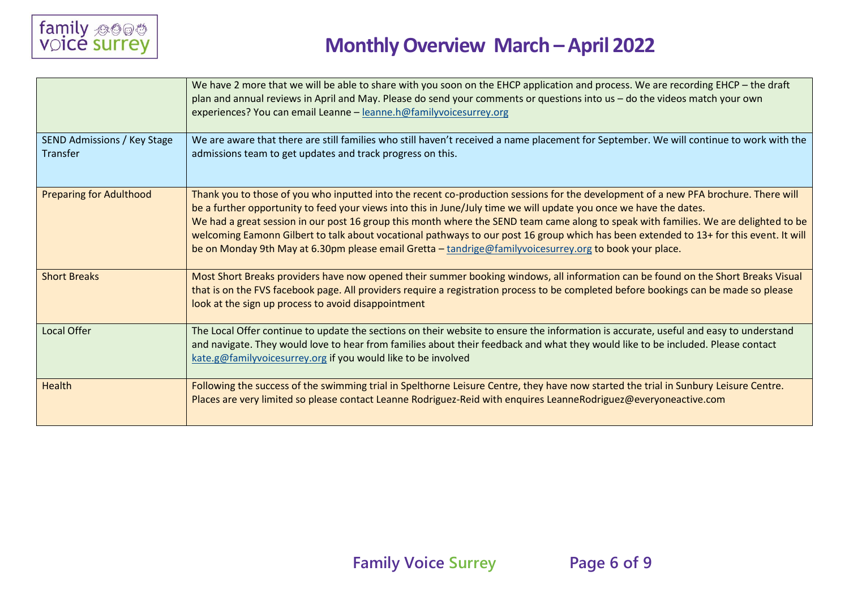

|                                                | We have 2 more that we will be able to share with you soon on the EHCP application and process. We are recording EHCP – the draft<br>plan and annual reviews in April and May. Please do send your comments or questions into us - do the videos match your own<br>experiences? You can email Leanne - leanne.h@familyvoicesurrey.org                                                                                                                                                                                                                                                                                                                  |
|------------------------------------------------|--------------------------------------------------------------------------------------------------------------------------------------------------------------------------------------------------------------------------------------------------------------------------------------------------------------------------------------------------------------------------------------------------------------------------------------------------------------------------------------------------------------------------------------------------------------------------------------------------------------------------------------------------------|
| <b>SEND Admissions / Key Stage</b><br>Transfer | We are aware that there are still families who still haven't received a name placement for September. We will continue to work with the<br>admissions team to get updates and track progress on this.                                                                                                                                                                                                                                                                                                                                                                                                                                                  |
| <b>Preparing for Adulthood</b>                 | Thank you to those of you who inputted into the recent co-production sessions for the development of a new PFA brochure. There will<br>be a further opportunity to feed your views into this in June/July time we will update you once we have the dates.<br>We had a great session in our post 16 group this month where the SEND team came along to speak with families. We are delighted to be<br>welcoming Eamonn Gilbert to talk about vocational pathways to our post 16 group which has been extended to 13+ for this event. It will<br>be on Monday 9th May at 6.30pm please email Gretta - tandrige@familyvoicesurrey.org to book your place. |
| <b>Short Breaks</b>                            | Most Short Breaks providers have now opened their summer booking windows, all information can be found on the Short Breaks Visual<br>that is on the FVS facebook page. All providers require a registration process to be completed before bookings can be made so please<br>look at the sign up process to avoid disappointment                                                                                                                                                                                                                                                                                                                       |
| <b>Local Offer</b>                             | The Local Offer continue to update the sections on their website to ensure the information is accurate, useful and easy to understand<br>and navigate. They would love to hear from families about their feedback and what they would like to be included. Please contact<br>kate.g@familyvoicesurrey.org if you would like to be involved                                                                                                                                                                                                                                                                                                             |
| Health                                         | Following the success of the swimming trial in Spelthorne Leisure Centre, they have now started the trial in Sunbury Leisure Centre.<br>Places are very limited so please contact Leanne Rodriguez-Reid with enquires LeanneRodriguez@everyoneactive.com                                                                                                                                                                                                                                                                                                                                                                                               |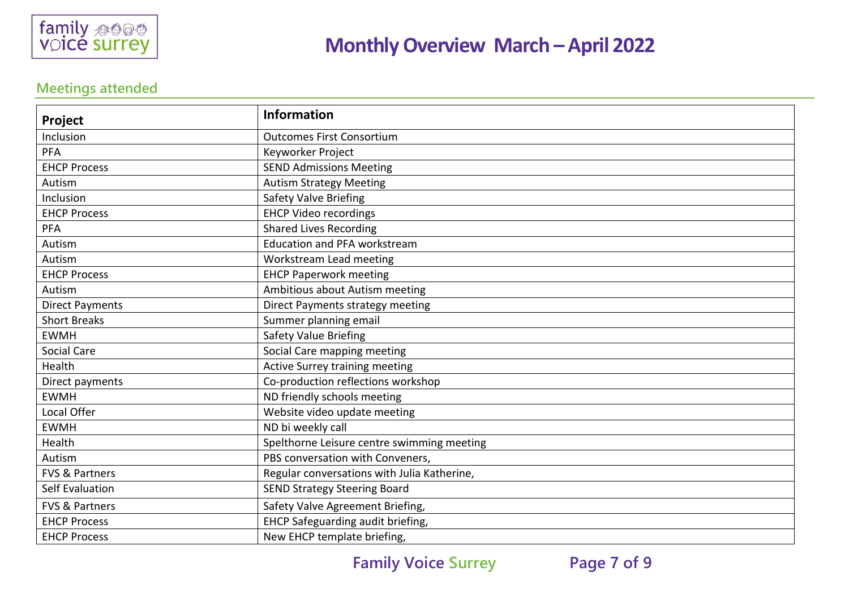

### **Meetings attended**

| Project                   | <b>Information</b>                          |
|---------------------------|---------------------------------------------|
| Inclusion                 | <b>Outcomes First Consortium</b>            |
| <b>PFA</b>                | Keyworker Project                           |
| <b>EHCP Process</b>       | <b>SEND Admissions Meeting</b>              |
| Autism                    | <b>Autism Strategy Meeting</b>              |
| Inclusion                 | Safety Valve Briefing                       |
| <b>EHCP Process</b>       | <b>EHCP Video recordings</b>                |
| PFA                       | <b>Shared Lives Recording</b>               |
| Autism                    | <b>Education and PFA workstream</b>         |
| Autism                    | Workstream Lead meeting                     |
| <b>EHCP Process</b>       | <b>EHCP Paperwork meeting</b>               |
| Autism                    | Ambitious about Autism meeting              |
| <b>Direct Payments</b>    | Direct Payments strategy meeting            |
| <b>Short Breaks</b>       | Summer planning email                       |
| <b>EWMH</b>               | <b>Safety Value Briefing</b>                |
| <b>Social Care</b>        | Social Care mapping meeting                 |
| Health                    | Active Surrey training meeting              |
| Direct payments           | Co-production reflections workshop          |
| <b>EWMH</b>               | ND friendly schools meeting                 |
| Local Offer               | Website video update meeting                |
| <b>EWMH</b>               | ND bi weekly call                           |
| Health                    | Spelthorne Leisure centre swimming meeting  |
| Autism                    | PBS conversation with Conveners,            |
| <b>FVS &amp; Partners</b> | Regular conversations with Julia Katherine, |
| Self Evaluation           | <b>SEND Strategy Steering Board</b>         |
| <b>FVS &amp; Partners</b> | Safety Valve Agreement Briefing,            |
| <b>EHCP Process</b>       | EHCP Safeguarding audit briefing,           |
| <b>EHCP Process</b>       | New EHCP template briefing,                 |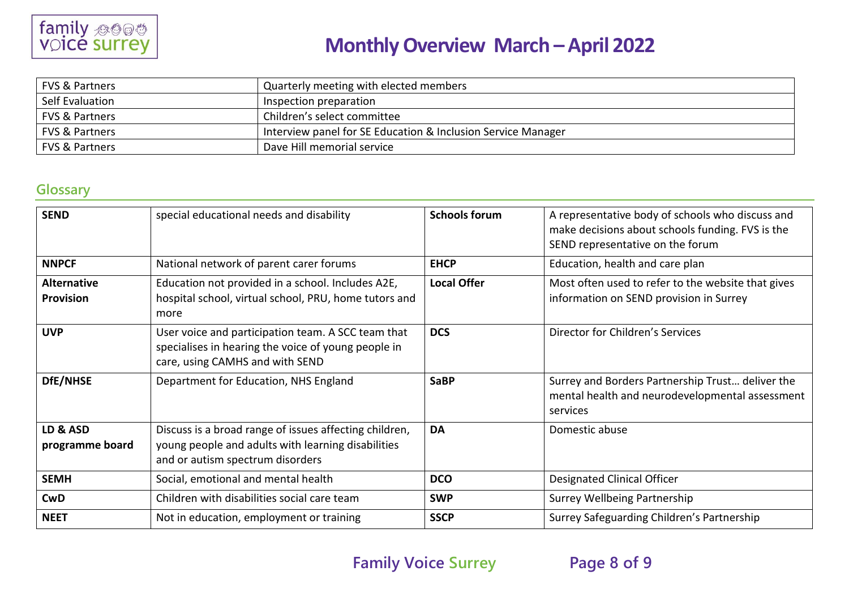

| <b>FVS &amp; Partners</b> | Quarterly meeting with elected members                       |
|---------------------------|--------------------------------------------------------------|
| Self Evaluation           | Inspection preparation                                       |
| <b>FVS &amp; Partners</b> | Children's select committee                                  |
| <b>FVS &amp; Partners</b> | Interview panel for SE Education & Inclusion Service Manager |
| <b>FVS &amp; Partners</b> | Dave Hill memorial service                                   |

### **Glossary**

| <b>SEND</b>                            | special educational needs and disability                                                                                                         | <b>Schools forum</b> | A representative body of schools who discuss and<br>make decisions about schools funding. FVS is the<br>SEND representative on the forum |
|----------------------------------------|--------------------------------------------------------------------------------------------------------------------------------------------------|----------------------|------------------------------------------------------------------------------------------------------------------------------------------|
| <b>NNPCF</b>                           | National network of parent carer forums                                                                                                          | <b>EHCP</b>          | Education, health and care plan                                                                                                          |
| <b>Alternative</b><br><b>Provision</b> | Education not provided in a school. Includes A2E,<br>hospital school, virtual school, PRU, home tutors and<br>more                               | <b>Local Offer</b>   | Most often used to refer to the website that gives<br>information on SEND provision in Surrey                                            |
| <b>UVP</b>                             | User voice and participation team. A SCC team that<br>specialises in hearing the voice of young people in<br>care, using CAMHS and with SEND     | <b>DCS</b>           | Director for Children's Services                                                                                                         |
| DfE/NHSE                               | Department for Education, NHS England                                                                                                            | <b>SaBP</b>          | Surrey and Borders Partnership Trust deliver the<br>mental health and neurodevelopmental assessment<br>services                          |
| LD & ASD<br>programme board            | Discuss is a broad range of issues affecting children,<br>young people and adults with learning disabilities<br>and or autism spectrum disorders | <b>DA</b>            | Domestic abuse                                                                                                                           |
| <b>SEMH</b>                            | Social, emotional and mental health                                                                                                              | <b>DCO</b>           | <b>Designated Clinical Officer</b>                                                                                                       |
| <b>CwD</b>                             | Children with disabilities social care team                                                                                                      | <b>SWP</b>           | Surrey Wellbeing Partnership                                                                                                             |
| <b>NEET</b>                            | Not in education, employment or training                                                                                                         | <b>SSCP</b>          | Surrey Safeguarding Children's Partnership                                                                                               |